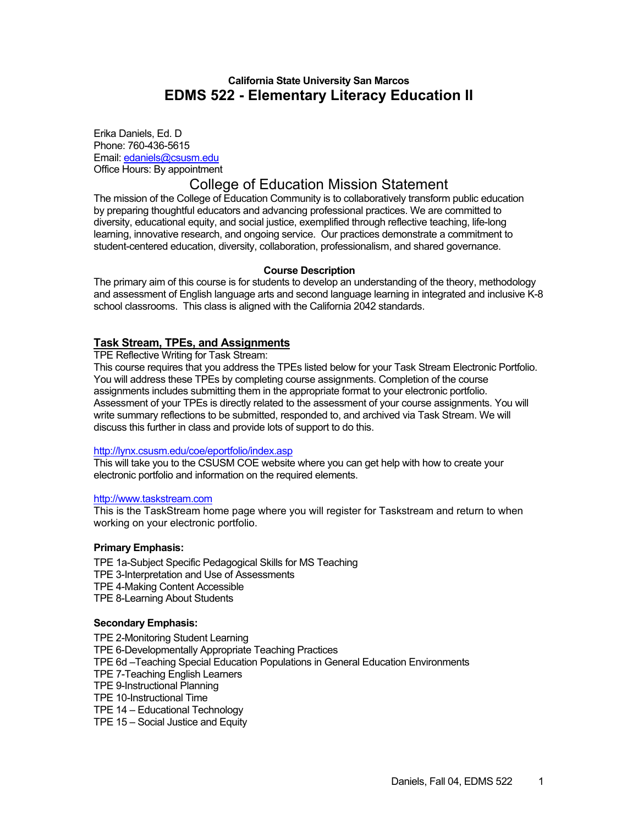### **California State University San Marcos EDMS 522 - Elementary Literacy Education II**

Erika Daniels, Ed. D Phone: 760-436-5615 Email: edaniels@csusm.edu Office Hours: By appointment

# College of Education Mission Statement

The mission of the College of Education Community is to collaboratively transform public education by preparing thoughtful educators and advancing professional practices. We are committed to diversity, educational equity, and social justice, exemplified through reflective teaching, life-long learning, innovative research, and ongoing service. Our practices demonstrate a commitment to student-centered education, diversity, collaboration, professionalism, and shared governance.

#### **Course Description**

The primary aim of this course is for students to develop an understanding of the theory, methodology and assessment of English language arts and second language learning in integrated and inclusive K-8 school classrooms. This class is aligned with the California 2042 standards.

#### **Task Stream, TPEs, and Assignments**

TPE Reflective Writing for Task Stream:

This course requires that you address the TPEs listed below for your Task Stream Electronic Portfolio. You will address these TPEs by completing course assignments. Completion of the course assignments includes submitting them in the appropriate format to your electronic portfolio. Assessment of your TPEs is directly related to the assessment of your course assignments. You will write summary reflections to be submitted, responded to, and archived via Task Stream. We will discuss this further in class and provide lots of support to do this.

#### http://lynx.csusm.edu/coe/eportfolio/index.asp

This will take you to the CSUSM COE website where you can get help with how to create your electronic portfolio and information on the required elements.

#### http://www.taskstream.com

This is the TaskStream home page where you will register for Taskstream and return to when working on your electronic portfolio.

#### **Primary Emphasis:**

TPE 1a-Subject Specific Pedagogical Skills for MS Teaching TPE 3-Interpretation and Use of Assessments TPE 4-Making Content Accessible TPE 8-Learning About Students

#### **Secondary Emphasis:**

TPE 2-Monitoring Student Learning TPE 6-Developmentally Appropriate Teaching Practices TPE 6d –Teaching Special Education Populations in General Education Environments TPE 7-Teaching English Learners TPE 9-Instructional Planning TPE 10-Instructional Time TPE 14 – Educational Technology TPE 15 – Social Justice and Equity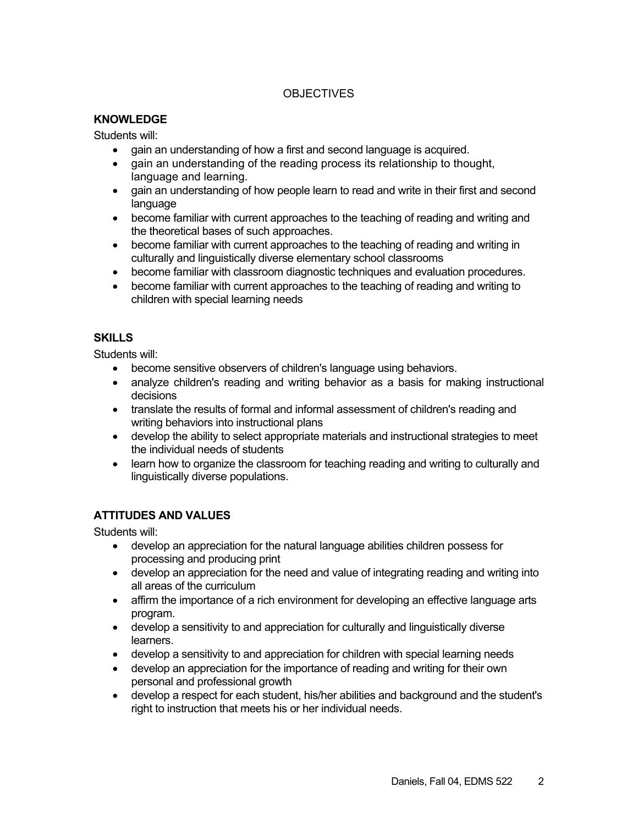## **OBJECTIVES**

### **KNOWLEDGE**

Students will:

- gain an understanding of how a first and second language is acquired.
- gain an understanding of the reading process its relationship to thought, language and learning.
- gain an understanding of how people learn to read and write in their first and second language
- become familiar with current approaches to the teaching of reading and writing and the theoretical bases of such approaches.
- become familiar with current approaches to the teaching of reading and writing in culturally and linguistically diverse elementary school classrooms
- become familiar with classroom diagnostic techniques and evaluation procedures.
- become familiar with current approaches to the teaching of reading and writing to children with special learning needs

## **SKILLS**

Students will:

- become sensitive observers of children's language using behaviors.
- analyze children's reading and writing behavior as a basis for making instructional decisions
- translate the results of formal and informal assessment of children's reading and writing behaviors into instructional plans
- develop the ability to select appropriate materials and instructional strategies to meet the individual needs of students
- learn how to organize the classroom for teaching reading and writing to culturally and linguistically diverse populations.

## **ATTITUDES AND VALUES**

Students will:

- develop an appreciation for the natural language abilities children possess for processing and producing print
- develop an appreciation for the need and value of integrating reading and writing into all areas of the curriculum
- affirm the importance of a rich environment for developing an effective language arts program.
- develop a sensitivity to and appreciation for culturally and linguistically diverse learners.
- develop a sensitivity to and appreciation for children with special learning needs
- develop an appreciation for the importance of reading and writing for their own personal and professional growth
- develop a respect for each student, his/her abilities and background and the student's right to instruction that meets his or her individual needs.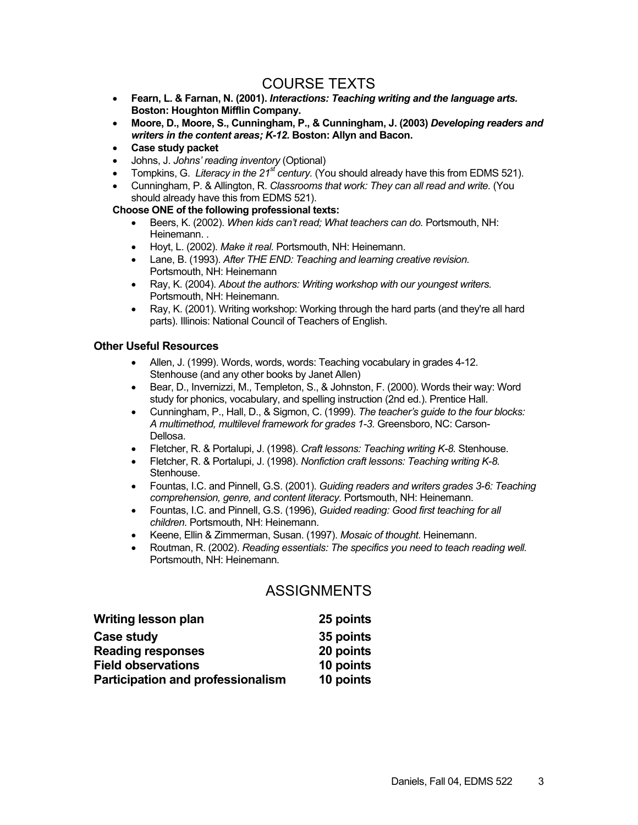# COURSE TEXTS

- **Fearn, L. & Farnan, N. (2001).** *Interactions: Teaching writing and the language arts.* **Boston: Houghton Mifflin Company.**
- **Moore, D., Moore, S., Cunningham, P., & Cunningham, J. (2003)** *Developing readers and writers in the content areas; K-12.* **Boston: Allyn and Bacon.**
- **Case study packet**
- Johns, J. *Johns' reading inventory* (Optional)
- Tompkins, G. Literacy in the 21<sup>st</sup> century. (You should already have this from EDMS 521).
- Cunningham, P. & Allington, R. *Classrooms that work: They can all read and write.* (You should already have this from EDMS 521).

#### **Choose ONE of the following professional texts:**

- Beers, K. (2002). *When kids can't read; What teachers can do.* Portsmouth, NH: Heinemann...
- Hoyt, L. (2002). *Make it real.* Portsmouth, NH: Heinemann.
- Lane, B. (1993). *After THE END: Teaching and learning creative revision.*  Portsmouth, NH: Heinemann
- Ray, K. (2004). *About the authors: Writing workshop with our youngest writers.*  Portsmouth, NH: Heinemann.
- Ray, K. (2001). Writing workshop: Working through the hard parts (and they're all hard parts). Illinois: National Council of Teachers of English.

#### **Other Useful Resources**

- Allen, J. (1999). Words, words, words: Teaching vocabulary in grades 4-12. Stenhouse (and any other books by Janet Allen)
- Bear, D., Invernizzi, M., Templeton, S., & Johnston, F. (2000). Words their way: Word study for phonics, vocabulary, and spelling instruction (2nd ed.). Prentice Hall.
- Cunningham, P., Hall, D., & Sigmon, C. (1999). *The teacher's guide to the four blocks: A multimethod, multilevel framework for grades 1-3.* Greensboro, NC: Carson-Dellosa.
- Fletcher, R. & Portalupi, J. (1998). *Craft lessons: Teaching writing K-8.* Stenhouse.
- Fletcher, R. & Portalupi, J. (1998). *Nonfiction craft lessons: Teaching writing K-8.*  Stenhouse.
- Fountas, I.C. and Pinnell, G.S. (2001). *Guiding readers and writers grades 3-6: Teaching comprehension, genre, and content literacy.* Portsmouth, NH: Heinemann.
- Fountas, I.C. and Pinnell, G.S. (1996), *Guided reading: Good first teaching for all children.* Portsmouth, NH: Heinemann.
- Keene, Ellin & Zimmerman, Susan. (1997). *Mosaic of thought*. Heinemann.
- Routman, R. (2002). *Reading essentials: The specifics you need to teach reading well.*  Portsmouth, NH: Heinemann.

# ASSIGNMENTS

| Writing lesson plan                      | 25 points |
|------------------------------------------|-----------|
| <b>Case study</b>                        | 35 points |
| <b>Reading responses</b>                 | 20 points |
| <b>Field observations</b>                | 10 points |
| <b>Participation and professionalism</b> | 10 points |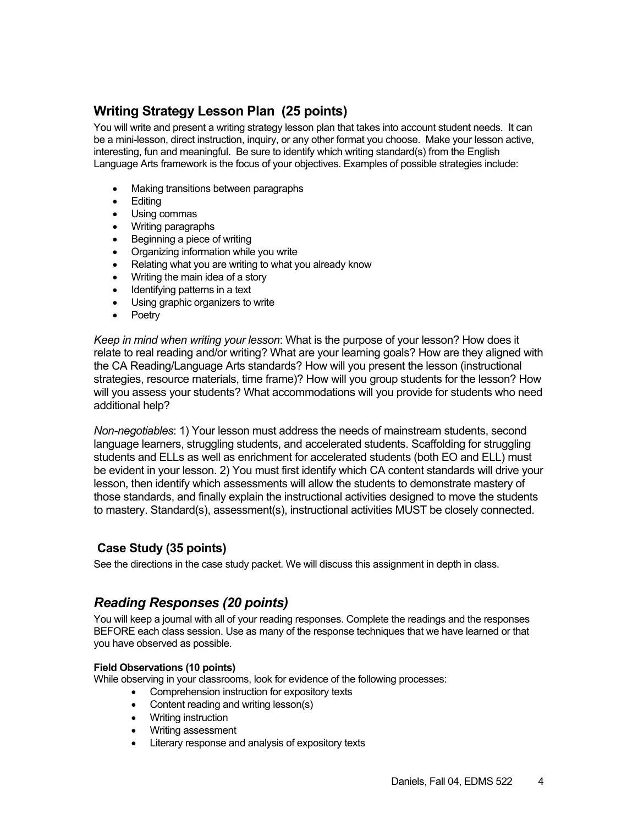# **Writing Strategy Lesson Plan (25 points)**

You will write and present a writing strategy lesson plan that takes into account student needs. It can be a mini-lesson, direct instruction, inquiry, or any other format you choose. Make your lesson active, interesting, fun and meaningful. Be sure to identify which writing standard(s) from the English Language Arts framework is the focus of your objectives. Examples of possible strategies include:

- Making transitions between paragraphs
- Editing
- Using commas
- Writing paragraphs
- Beginning a piece of writing
- Organizing information while you write
- Relating what you are writing to what you already know
- Writing the main idea of a story
- Identifying patterns in a text
- Using graphic organizers to write
- Poetry

*Keep in mind when writing your lesson*: What is the purpose of your lesson? How does it relate to real reading and/or writing? What are your learning goals? How are they aligned with the CA Reading/Language Arts standards? How will you present the lesson (instructional strategies, resource materials, time frame)? How will you group students for the lesson? How will you assess your students? What accommodations will you provide for students who need additional help?

*Non-negotiables*: 1) Your lesson must address the needs of mainstream students, second language learners, struggling students, and accelerated students. Scaffolding for struggling students and ELLs as well as enrichment for accelerated students (both EO and ELL) must be evident in your lesson. 2) You must first identify which CA content standards will drive your lesson, then identify which assessments will allow the students to demonstrate mastery of those standards, and finally explain the instructional activities designed to move the students to mastery. Standard(s), assessment(s), instructional activities MUST be closely connected.

### **Case Study (35 points)**

See the directions in the case study packet. We will discuss this assignment in depth in class.

# *Reading Responses (20 points)*

You will keep a journal with all of your reading responses. Complete the readings and the responses BEFORE each class session. Use as many of the response techniques that we have learned or that you have observed as possible.

#### **Field Observations (10 points)**

While observing in your classrooms, look for evidence of the following processes:

- Comprehension instruction for expository texts
- Content reading and writing lesson(s)
- Writing instruction
- Writing assessment
- Literary response and analysis of expository texts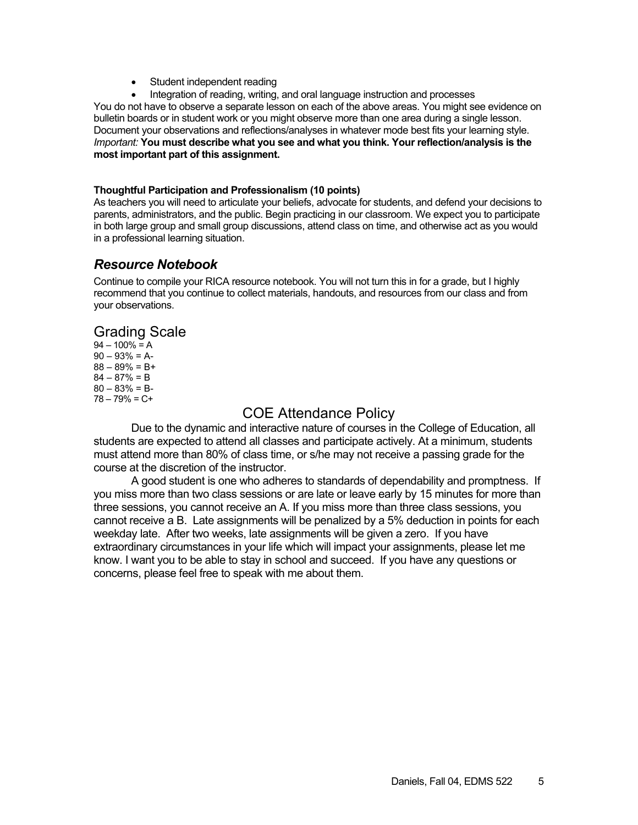- Student independent reading
- Integration of reading, writing, and oral language instruction and processes

You do not have to observe a separate lesson on each of the above areas. You might see evidence on bulletin boards or in student work or you might observe more than one area during a single lesson. Document your observations and reflections/analyses in whatever mode best fits your learning style. *Important:* **You must describe what you see and what you think. Your reflection/analysis is the most important part of this assignment.** 

#### **Thoughtful Participation and Professionalism (10 points)**

As teachers you will need to articulate your beliefs, advocate for students, and defend your decisions to parents, administrators, and the public. Begin practicing in our classroom. We expect you to participate in both large group and small group discussions, attend class on time, and otherwise act as you would in a professional learning situation.

## *Resource Notebook*

Continue to compile your RICA resource notebook. You will not turn this in for a grade, but I highly recommend that you continue to collect materials, handouts, and resources from our class and from your observations.

# Grading Scale

 $94 - 100\% = A$  $90 - 93\% = A$  $88 - 89\% = B +$  $84 - 87\% = B$  $80 - 83\% = B$  $78 - 79\% = C +$ 

# COE Attendance Policy

Due to the dynamic and interactive nature of courses in the College of Education, all students are expected to attend all classes and participate actively. At a minimum, students must attend more than 80% of class time, or s/he may not receive a passing grade for the course at the discretion of the instructor.

A good student is one who adheres to standards of dependability and promptness. If you miss more than two class sessions or are late or leave early by 15 minutes for more than three sessions, you cannot receive an A. If you miss more than three class sessions, you cannot receive a B. Late assignments will be penalized by a 5% deduction in points for each weekday late. After two weeks, late assignments will be given a zero. If you have extraordinary circumstances in your life which will impact your assignments, please let me know. I want you to be able to stay in school and succeed. If you have any questions or concerns, please feel free to speak with me about them.